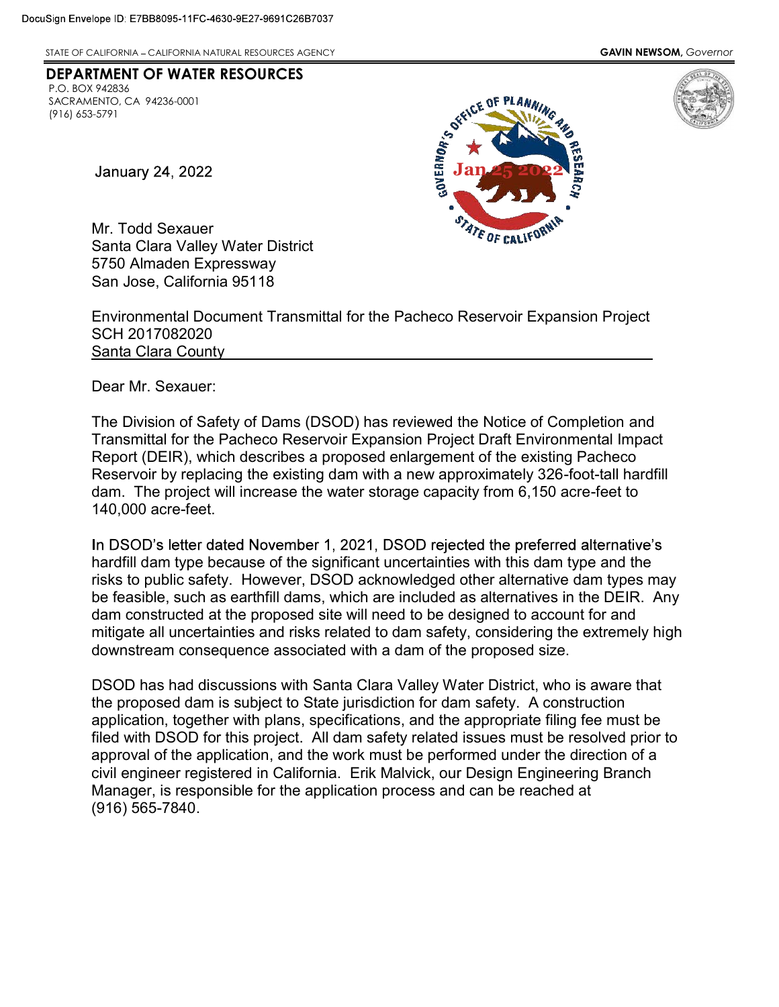STATE OF CALIFORNIA - CALIFORNIA NATURAL RESOURCES AGENCY

## DEPARTMENT OF WATER RESOURCES OF CALIFORNIA<br>
P**ARTMENT**<br>
BOX 942836<br>
RAMENTO, CA<br>
Januar<br>
Januar<br> **Januar**<br>
Mr. Tod P.O. BOX 942836

 SACRAMENTO, CA 94236-0001 (916) 653-5791



 Mr. Todd Sexauer Santa Clara Valley Water District 5750 Almaden Expressway San Jose, California 95118

 Environmental Document Transmittal for the Pacheco Reservoir Expansion Project **Santa Clara County** SCH 2017082020

Dear Mr. Sexauer:

 The Division of Safety of Dams (DSOD) has reviewed the Notice of Completion and Transmittal for the Pacheco Reservoir Expansion Project Draft Environmental Impact Report (DEIR), which describes a proposed enlargement of the existing Pacheco Reservoir by replacing the existing dam with a new approximately 326-foot-tall hardfill dam. The project will increase the water storage capacity from 6,150 acre-feet to 140,000 acre-feet. ta Clara Va<br>0 Almaden<br>Jose, Calif<br>ironmental<br>4 20170820<br>ta Clara Co<br>ta Clara Co<br>Ir Mr. Sexa<br>Division of<br>nsmittal for<br>ort (DEIR),<br>ervoir by re<br>1. The proje<br>0.00 acre-fe

 hardfill dam type because of the significant uncertainties with this dam type and the risks to public safety. However, DSOD acknowledged other alternative dam types may be feasible, such as earthfill dams, which are included as alternatives in the DEIR. Any dam constructed at the proposed site will need to be designed to account for and mitigate all uncertainties and risks related to dam safety, considering the extremely high downstream consequence associated with a dam of the proposed size.

 DSOD has had discussions with Santa Clara Valley Water District, who is aware that the proposed dam is subject to State jurisdiction for dam safety. A construction application, together with plans, specifications, and the appropriate filing fee must be filed with DSOD for this project. All dam safety related issues must be resolved prior to approval of the application, and the work must be performed under the direction of a civil engineer registered in California. Erik Malvick, our Design Engineering Branch Manager, is responsible for the application process and can be reached at (916) 565-7840. STATE OF CALIFORNIA INCREASED CALIFORNIA CONTROLL CONTROLL CONTROLL CONTROLL CONTROLL CONTROLL CONTROLL CONTROLL CONTROLL CONTROLL CONTROLL CONTROLL CONTROLL CONTROLL CONTROLL CONTROLL CONTROLL CONTROLL CONTROLL CONTROLL C